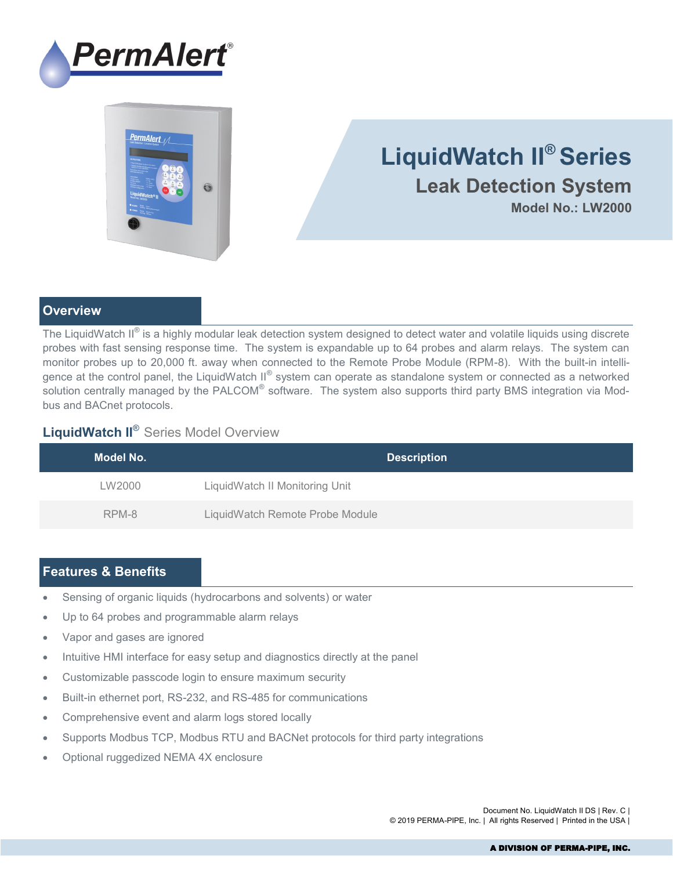

# PermAlert  $\odot$

# **LiquidWatch II® Series Leak Detection System Model No.: LW2000**

## **Overview**

The LiquidWatch II $^\circ$  is a highly modular leak detection system designed to detect water and volatile liquids using discrete probes with fast sensing response time. The system is expandable up to 64 probes and alarm relays. The system can monitor probes up to 20,000 ft. away when connected to the Remote Probe Module (RPM-8). With the built-in intelligence at the control panel, the LiquidWatch II® system can operate as standalone system or connected as a networked solution centrally managed by the PALCOM® software. The system also supports third party BMS integration via Modbus and BACnet protocols.

# **LiquidWatch II**® Series Model Overview

| Model No. | <b>Description</b>              |
|-----------|---------------------------------|
| LW2000    | LiquidWatch II Monitoring Unit  |
| RPM-8     | LiquidWatch Remote Probe Module |

# **Features & Benefits**

- Sensing of organic liquids (hydrocarbons and solvents) or water
- Up to 64 probes and programmable alarm relays
- Vapor and gases are ignored
- Intuitive HMI interface for easy setup and diagnostics directly at the panel
- Customizable passcode login to ensure maximum security
- Built-in ethernet port, RS-232, and RS-485 for communications
- Comprehensive event and alarm logs stored locally
- Supports Modbus TCP, Modbus RTU and BACNet protocols for third party integrations
- Optional ruggedized NEMA 4X enclosure

Document No. LiquidWatch II DS | Rev. C | © 2019 PERMA-PIPE, Inc. | All rights Reserved | Printed in the USA |